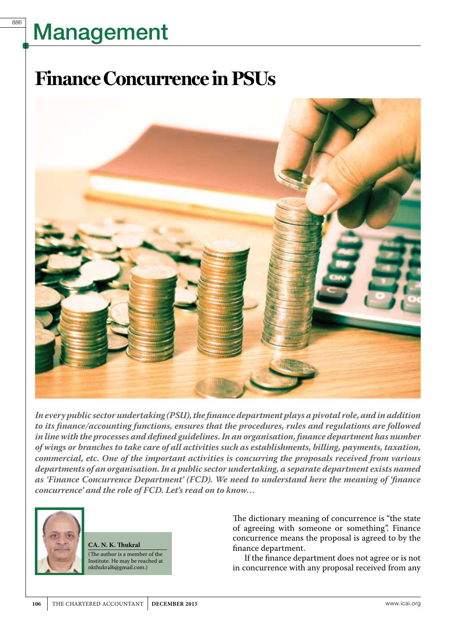886

### **Finance Concurrence in PSUs**



*In every public sector undertaking (PSU), the finance department plays a pivotal role, and in addition to its finance/accounting functions, ensures that the procedures, rules and regulations are followed in line with the processes and defined guidelines. In an organisation, finance department has number of wings or branches to take care of all activities such as establishments, billing, payments, taxation, commercial, etc. One of the important activities is concurring the proposals received from various departments of an organisation. In a public sector undertaking, a separate department exists named as 'Finance Concurrence Department' (FCD). We need to understand here the meaning of 'finance concurrence' and the role of FCD. Let's read on to know…*



**CA. N. K. Thukral** (The author is a member of the Institute. He may be reached at nkthukral6@gmail.com.)

The dictionary meaning of concurrence is "the state of agreeing with someone or something". Finance concurrence means the proposal is agreed to by the finance department.

If the finance department does not agree or is not in concurrence with any proposal received from any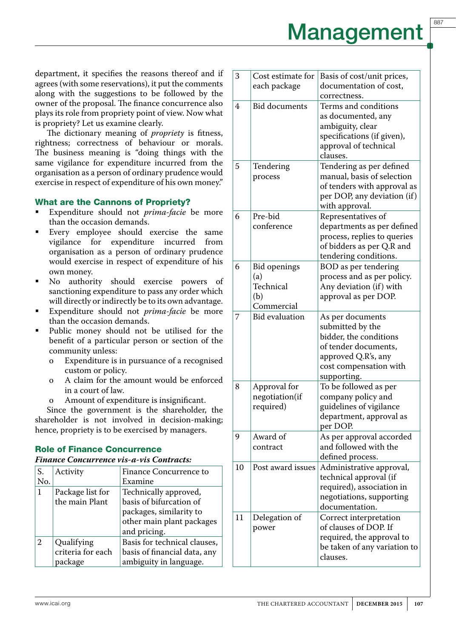department, it specifies the reasons thereof and if agrees (with some reservations), it put the comments along with the suggestions to be followed by the owner of the proposal. The finance concurrence also plays its role from propriety point of view. Now what is propriety? Let us examine clearly.

The dictionary meaning of *propriety* is fitness, rightness; correctness of behaviour or morals. The business meaning is "doing things with the same vigilance for expenditure incurred from the organisation as a person of ordinary prudence would exercise in respect of expenditure of his own money."

#### What are the Cannons of Propriety?

- Expenditure should not *prima-facie* be more than the occasion demands.
- Every employee should exercise the same vigilance for expenditure incurred from organisation as a person of ordinary prudence would exercise in respect of expenditure of his own money.
- No authority should exercise powers of sanctioning expenditure to pass any order which will directly or indirectly be to its own advantage.
- Expenditure should not *prima-facie* be more than the occasion demands.
- Public money should not be utilised for the benefit of a particular person or section of the community unless:
	- o Expenditure is in pursuance of a recognised custom or policy.
	- o A claim for the amount would be enforced in a court of law.
	- o Amount of expenditure is insignificant.

Since the government is the shareholder, the shareholder is not involved in decision-making; hence, propriety is to be exercised by managers.

#### Role of Finance Concurrence

#### *Finance Concurrence vis-a-vis Contracts:*

| S.<br>No.    | Activity                                   | Finance Concurrence to<br>Examine                                                                                        |
|--------------|--------------------------------------------|--------------------------------------------------------------------------------------------------------------------------|
| $\mathbf{1}$ | Package list for<br>the main Plant         | Technically approved,<br>basis of bifurcation of<br>packages, similarity to<br>other main plant packages<br>and pricing. |
| 2            | Qualifying<br>criteria for each<br>package | Basis for technical clauses,<br>basis of financial data, any<br>ambiguity in language.                                   |

| 3  | Cost estimate for     | Basis of cost/unit prices,           |
|----|-----------------------|--------------------------------------|
|    | each package          | documentation of cost,               |
|    |                       | correctness.                         |
| 4  | <b>Bid documents</b>  | Terms and conditions                 |
|    |                       | as documented, any                   |
|    |                       | ambiguity, clear                     |
|    |                       | specifications (if given),           |
|    |                       | approval of technical                |
|    |                       | clauses.                             |
| 5  | Tendering             | Tendering as per defined             |
|    | process               | manual, basis of selection           |
|    |                       | of tenders with approval as          |
|    |                       | per DOP, any deviation (if)          |
|    |                       | with approval.                       |
| 6  | Pre-bid               | Representatives of                   |
|    | conference            | departments as per defined           |
|    |                       | process, replies to queries          |
|    |                       | of bidders as per Q.R and            |
|    |                       | tendering conditions.                |
| 6  | <b>Bid openings</b>   | BOD as per tendering                 |
|    | (a)                   | process and as per policy.           |
|    | Technical             | Any deviation (if) with              |
|    | (b)<br>Commercial     | approval as per DOP.                 |
| 7  | <b>Bid evaluation</b> |                                      |
|    |                       | As per documents<br>submitted by the |
|    |                       | bidder, the conditions               |
|    |                       | of tender documents,                 |
|    |                       | approved Q.R's, any                  |
|    |                       | cost compensation with               |
|    |                       | supporting.                          |
| 8  | Approval for          | To be followed as per                |
|    | negotiation(if        | company policy and                   |
|    | required)             | guidelines of vigilance              |
|    |                       | department, approval as              |
|    |                       | per DOP.                             |
| 9  | Award of              | As per approval accorded             |
|    | contract              | and followed with the                |
|    |                       | defined process.                     |
| 10 | Post award issues     | Administrative approval,             |
|    |                       | technical approval (if               |
|    |                       | required), association in            |
|    |                       | negotiations, supporting             |
|    |                       | documentation.                       |
| 11 | Delegation of         | Correct interpretation               |
|    | power                 | of clauses of DOP. If                |
|    |                       | required, the approval to            |
|    |                       | be taken of any variation to         |
|    |                       | clauses.                             |
|    |                       |                                      |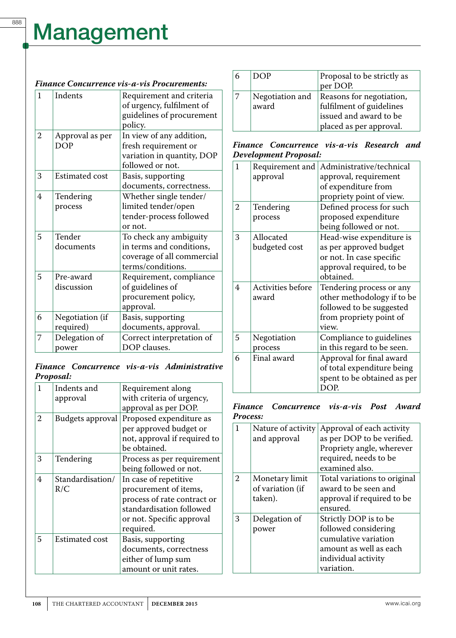#### *Finance Concurrence vis-a-vis Procurements:*

| 1 | Indents                       | Requirement and criteria<br>of urgency, fulfilment of<br>guidelines of procurement<br>policy.         |
|---|-------------------------------|-------------------------------------------------------------------------------------------------------|
| 2 | Approval as per<br><b>DOP</b> | In view of any addition,<br>fresh requirement or<br>variation in quantity, DOP<br>followed or not.    |
| 3 | <b>Estimated cost</b>         | Basis, supporting<br>documents, correctness.                                                          |
| 4 | Tendering<br>process          | Whether single tender/<br>limited tender/open<br>tender-process followed<br>or not.                   |
| 5 | Tender<br>documents           | To check any ambiguity<br>in terms and conditions,<br>coverage of all commercial<br>terms/conditions. |
| 5 | Pre-award<br>discussion       | Requirement, compliance<br>of guidelines of<br>procurement policy,<br>approval.                       |
| 6 | Negotiation (if<br>required)  | Basis, supporting<br>documents, approval.                                                             |
| 7 | Delegation of<br>power        | Correct interpretation of<br>DOP clauses.                                                             |

### *Finance Concurrence vis-a-vis Administrative Proposal:*

| 1 | Indents and           | Requirement along            |  |
|---|-----------------------|------------------------------|--|
|   | approval              | with criteria of urgency,    |  |
|   |                       | approval as per DOP.         |  |
| 2 | Budgets approval      | Proposed expenditure as      |  |
|   |                       | per approved budget or       |  |
|   |                       | not, approval if required to |  |
|   |                       | be obtained.                 |  |
| 3 | Tendering             | Process as per requirement   |  |
|   |                       | being followed or not.       |  |
| 4 | Standardisation/      | In case of repetitive        |  |
|   | R/C                   | procurement of items,        |  |
|   |                       | process of rate contract or  |  |
|   |                       | standardisation followed     |  |
|   |                       | or not. Specific approval    |  |
|   |                       | required.                    |  |
| 5 | <b>Estimated cost</b> | Basis, supporting            |  |
|   |                       | documents, correctness       |  |
|   |                       | either of lump sum           |  |
|   |                       | amount or unit rates.        |  |

| DOP                      | Proposal to be strictly as<br>per DOP.                                                                    |
|--------------------------|-----------------------------------------------------------------------------------------------------------|
| Negotiation and<br>award | Reasons for negotiation,<br>fulfilment of guidelines<br>issued and award to be<br>placed as per approval. |

#### *Finance Concurrence vis-a-vis Research and Development Proposal:*

| Requirement and<br>approval | Administrative/technical<br>approval, requirement |
|-----------------------------|---------------------------------------------------|
|                             | of expenditure from                               |
|                             | propriety point of view.                          |
| Tendering                   | Defined process for such                          |
| process                     | proposed expenditure                              |
|                             | being followed or not.                            |
| Allocated                   | Head-wise expenditure is                          |
| budgeted cost               | as per approved budget                            |
|                             | or not. In case specific                          |
|                             | approval required, to be                          |
|                             | obtained.                                         |
| Activities before           | Tendering process or any                          |
| award                       | other methodology if to be                        |
|                             | followed to be suggested                          |
|                             | from propriety point of                           |
|                             | view.                                             |
| Negotiation                 | Compliance to guidelines                          |
| process                     | in this regard to be seen.                        |
| Final award                 | Approval for final award                          |
|                             | of total expenditure being                        |
|                             | spent to be obtained as per                       |
|                             | DOP.                                              |
|                             |                                                   |

#### *Finance Concurrence vis-a-vis Post Award Process:*

| 1              | Nature of activity<br>and approval            | Approval of each activity<br>as per DOP to be verified.<br>Propriety angle, wherever<br>required, needs to be<br>examined also.      |
|----------------|-----------------------------------------------|--------------------------------------------------------------------------------------------------------------------------------------|
| $\mathfrak{D}$ | Monetary limit<br>of variation (if<br>taken). | Total variations to original<br>award to be seen and<br>approval if required to be<br>ensured.                                       |
| 3              | Delegation of<br>power                        | Strictly DOP is to be<br>followed considering<br>cumulative variation<br>amount as well as each<br>individual activity<br>variation. |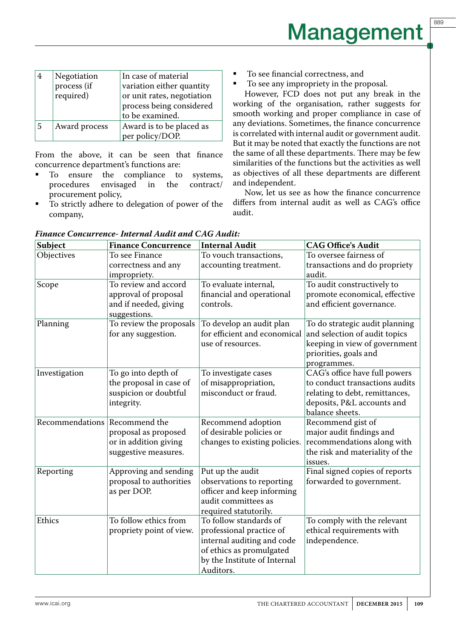889

|   | Negotiation<br>process (if<br>required) | In case of material<br>variation either quantity<br>or unit rates, negotiation<br>process being considered<br>to be examined. |
|---|-----------------------------------------|-------------------------------------------------------------------------------------------------------------------------------|
| 5 | Award process                           | Award is to be placed as<br>per policy/DOP.                                                                                   |

From the above, it can be seen that finance concurrence department's functions are:

- To ensure the compliance to systems,<br>procedures envisaged in the contract/ procedures procurement policy,
- To strictly adhere to delegation of power of the company,
- To see financial correctness, and
- To see any impropriety in the proposal.

However, FCD does not put any break in the working of the organisation, rather suggests for smooth working and proper compliance in case of any deviations. Sometimes, the finance concurrence is correlated with internal audit or government audit. But it may be noted that exactly the functions are not the same of all these departments. There may be few similarities of the functions but the activities as well as objectives of all these departments are different and independent.

Now, let us see as how the finance concurrence differs from internal audit as well as CAG's office audit.

| Subject                       | <b>Finance Concurrence</b>                    | <b>Internal Audit</b>                                    | <b>CAG Office's Audit</b>                                       |
|-------------------------------|-----------------------------------------------|----------------------------------------------------------|-----------------------------------------------------------------|
| Objectives                    | To see Finance                                | To vouch transactions,                                   | To oversee fairness of                                          |
|                               | correctness and any<br>impropriety.           | accounting treatment.                                    | transactions and do propriety<br>audit.                         |
| Scope                         | To review and accord                          | To evaluate internal,                                    | To audit constructively to                                      |
|                               | approval of proposal<br>and if needed, giving | financial and operational<br>controls.                   | promote economical, effective<br>and efficient governance.      |
| Planning                      | suggestions.<br>To review the proposals       |                                                          |                                                                 |
|                               | for any suggestion.                           | To develop an audit plan<br>for efficient and economical | To do strategic audit planning<br>and selection of audit topics |
|                               |                                               | use of resources.                                        | keeping in view of government<br>priorities, goals and          |
|                               |                                               |                                                          | programmes.                                                     |
| Investigation                 | To go into depth of                           | To investigate cases                                     | CAG's office have full powers                                   |
|                               | the proposal in case of                       | of misappropriation,                                     | to conduct transactions audits                                  |
|                               | suspicion or doubtful                         | misconduct or fraud.                                     | relating to debt, remittances,                                  |
|                               | integrity.                                    |                                                          | deposits, P&L accounts and<br>balance sheets.                   |
| Recommendations Recommend the |                                               | Recommend adoption                                       | Recommend gist of                                               |
|                               | proposal as proposed                          | of desirable policies or                                 | major audit findings and                                        |
|                               | or in addition giving                         | changes to existing policies.                            | recommendations along with                                      |
|                               | suggestive measures.                          |                                                          | the risk and materiality of the<br>issues.                      |
| Reporting                     | Approving and sending                         | Put up the audit                                         | Final signed copies of reports                                  |
|                               | proposal to authorities                       | observations to reporting                                | forwarded to government.                                        |
|                               | as per DOP.                                   | officer and keep informing                               |                                                                 |
|                               |                                               | audit committees as                                      |                                                                 |
|                               |                                               | required statutorily.                                    |                                                                 |
| Ethics                        | To follow ethics from                         | To follow standards of                                   | To comply with the relevant                                     |
|                               | propriety point of view.                      | professional practice of                                 | ethical requirements with                                       |
|                               |                                               | internal auditing and code                               | independence.                                                   |
|                               |                                               | of ethics as promulgated                                 |                                                                 |
|                               |                                               | by the Institute of Internal                             |                                                                 |
|                               |                                               | Auditors.                                                |                                                                 |

*Finance Concurrence- Internal Audit and CAG Audit:*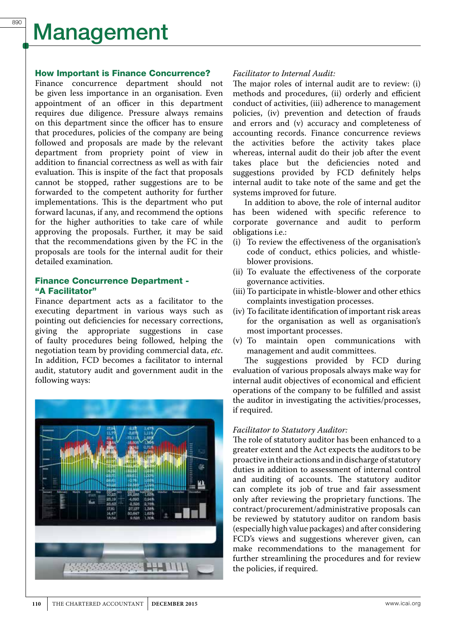#### How Important is Finance Concurrence?

Finance concurrence department should not be given less importance in an organisation. Even appointment of an officer in this department requires due diligence. Pressure always remains on this department since the officer has to ensure that procedures, policies of the company are being followed and proposals are made by the relevant department from propriety point of view in addition to financial correctness as well as with fair evaluation. This is inspite of the fact that proposals cannot be stopped, rather suggestions are to be forwarded to the competent authority for further implementations. This is the department who put forward lacunas, if any, and recommend the options for the higher authorities to take care of while approving the proposals. Further, it may be said that the recommendations given by the FC in the proposals are tools for the internal audit for their detailed examination.

#### Finance Concurrence Department - "A Facilitator"

Finance department acts as a facilitator to the executing department in various ways such as pointing out deficiencies for necessary corrections, giving the appropriate suggestions in case of faulty procedures being followed, helping the negotiation team by providing commercial data, *etc*. In addition, FCD becomes a facilitator to internal audit, statutory audit and government audit in the following ways:



#### *Facilitator to Internal Audit:*

The major roles of internal audit are to review: (i) methods and procedures, (ii) orderly and efficient conduct of activities, (iii) adherence to management policies, (iv) prevention and detection of frauds and errors and (v) accuracy and completeness of accounting records. Finance concurrence reviews the activities before the activity takes place whereas, internal audit do their job after the event takes place but the deficiencies noted and suggestions provided by FCD definitely helps internal audit to take note of the same and get the systems improved for future.

In addition to above, the role of internal auditor has been widened with specific reference to corporate governance and audit to perform obligations i.e.:

- (i) To review the effectiveness of the organisation's code of conduct, ethics policies, and whistleblower provisions.
- (ii) To evaluate the effectiveness of the corporate governance activities.
- (iii)To participate in whistle-blower and other ethics complaints investigation processes.
- (iv) To facilitate identification of important risk areas for the organisation as well as organisation's most important processes.<br>(v) To maintain open co
- maintain open communications with management and audit committees.

The suggestions provided by FCD during evaluation of various proposals always make way for internal audit objectives of economical and efficient operations of the company to be fulfilled and assist the auditor in investigating the activities/processes, if required.

#### *Facilitator to Statutory Auditor:*

The role of statutory auditor has been enhanced to a greater extent and the Act expects the auditors to be proactive in their actions and in discharge of statutory duties in addition to assessment of internal control and auditing of accounts. The statutory auditor can complete its job of true and fair assessment only after reviewing the proprietary functions. The contract/procurement/administrative proposals can be reviewed by statutory auditor on random basis (especially high value packages) and after considering FCD's views and suggestions wherever given, can make recommendations to the management for further streamlining the procedures and for review the policies, if required.